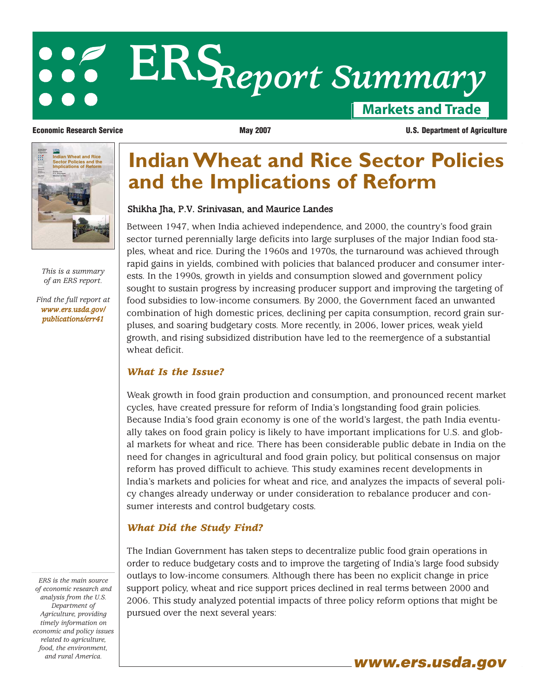# **Markets and Trade ERS***Report Summary*

Economic Research Service Shikha Jha P.V. Srinivasan Maurice Landes **Indian Wheat and Rice Sector Policies and the Implications of Reform**

> *This is a summary of an ERS report.*

*[Find the full report at](/publications/err41) www.ers.usda.gov/ publications/err41*

## **Indian Wheat and Rice Sector Policies and the Implications of Reform**

#### Shikha Jha, P.V. Srinivasan, and Maurice Landes

Between 1947, when India achieved independence, and 2000, the country's food grain sector turned perennially large deficits into large surpluses of the major Indian food staples, wheat and rice. During the 1960s and 1970s, the turnaround was achieved through rapid gains in yields, combined with policies that balanced producer and consumer interests. In the 1990s, growth in yields and consumption slowed and government policy sought to sustain progress by increasing producer support and improving the targeting of food subsidies to low-income consumers. By 2000, the Government faced an unwanted combination of high domestic prices, declining per capita consumption, record grain surpluses, and soaring budgetary costs. More recently, in 2006, lower prices, weak yield growth, and rising subsidized distribution have led to the reemergence of a substantial wheat deficit.

#### *What Is the Issue?*

Weak growth in food grain production and consumption, and pronounced recent market cycles, have created pressure for reform of India's longstanding food grain policies. Because India's food grain economy is one of the world's largest, the path India eventually takes on food grain policy is likely to have important implications for U.S. and global markets for wheat and rice. There has been considerable public debate in India on the need for changes in agricultural and food grain policy, but political consensus on major reform has proved difficult to achieve. This study examines recent developments in India's markets and policies for wheat and rice, and analyzes the impacts of several policy changes already underway or under consideration to rebalance producer and consumer interests and control budgetary costs.

### *What Did the Study Find?*

The Indian Government has taken steps to decentralize public food grain operations in order to reduce budgetary costs and to improve the targeting of India's large food subsidy outlays to low-income consumers. Although there has been no explicit change in price support policy, wheat and rice support prices declined in real terms between 2000 and 2006. This study analyzed potential impacts of three policy reform options that might be pursued over the next several years:

*ERS is the main source of economic research and analysis from the U.S. Department of Agriculture, providing timely information on economic and policy issues related to agriculture, food, the environment,*

and rural America.<br>**www.ers.usda.gov** 

**Economic Research Service**  The May 2007 May 2007 **U.S. Department of Agriculture**